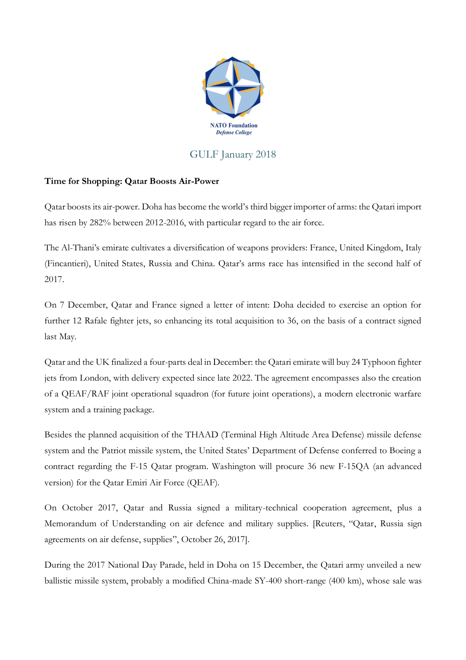

## GULF January 2018

## **Time for Shopping: Qatar Boosts Air-Power**

Qatar boosts its air-power. Doha has become the world's third bigger importer of arms: the Qatari import has risen by 282% between 2012-2016, with particular regard to the air force.

The Al-Thani's emirate cultivates a diversification of weapons providers: France, United Kingdom, Italy (Fincantieri), United States, Russia and China. Qatar's arms race has intensified in the second half of 2017.

On 7 December, Qatar and France signed a letter of intent: Doha decided to exercise an option for further 12 Rafale fighter jets, so enhancing its total acquisition to 36, on the basis of a contract signed last May.

Qatar and the UK finalized a four-parts deal in December: the Qatari emirate will buy 24 Typhoon fighter jets from London, with delivery expected since late 2022. The agreement encompasses also the creation of a QEAF/RAF joint operational squadron (for future joint operations), a modern electronic warfare system and a training package.

Besides the planned acquisition of the THAAD (Terminal High Altitude Area Defense) missile defense system and the Patriot missile system, the United States' Department of Defense conferred to Boeing a contract regarding the F-15 Qatar program. Washington will procure 36 new F-15QA (an advanced version) for the Qatar Emiri Air Force (QEAF).

On October 2017, Qatar and Russia signed a military-technical cooperation agreement, plus a Memorandum of Understanding on air defence and military supplies. [Reuters, "Qatar, Russia sign agreements on air defense, supplies", October 26, 2017].

During the 2017 National Day Parade, held in Doha on 15 December, the Qatari army unveiled a new ballistic missile system, probably a modified China-made SY-400 short-range (400 km), whose sale was